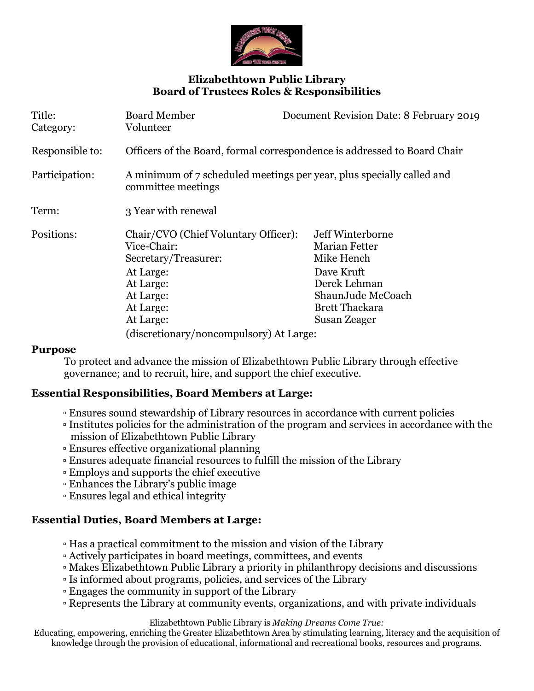

# **Elizabethtown Public Library Board of Trustees Roles & Responsibilities**

| Title:<br>Category: | <b>Board Member</b><br>Volunteer                                                                                                             | Document Revision Date: 8 February 2019                                                                                                     |
|---------------------|----------------------------------------------------------------------------------------------------------------------------------------------|---------------------------------------------------------------------------------------------------------------------------------------------|
| Responsible to:     | Officers of the Board, formal correspondence is addressed to Board Chair                                                                     |                                                                                                                                             |
| Participation:      | A minimum of 7 scheduled meetings per year, plus specially called and<br>committee meetings                                                  |                                                                                                                                             |
| Term:               | 3 Year with renewal                                                                                                                          |                                                                                                                                             |
| Positions:          | Chair/CVO (Chief Voluntary Officer):<br>Vice-Chair:<br>Secretary/Treasurer:<br>At Large:<br>At Large:<br>At Large:<br>At Large:<br>At Large: | Jeff Winterborne<br>Marian Fetter<br>Mike Hench<br>Dave Kruft<br>Derek Lehman<br>ShaunJude McCoach<br><b>Brett Thackara</b><br>Susan Zeager |
|                     | (discretionary/noncompulsory) At Large:                                                                                                      |                                                                                                                                             |

#### **Purpose**

To protect and advance the mission of Elizabethtown Public Library through effective governance; and to recruit, hire, and support the chief executive.

### **Essential Responsibilities, Board Members at Large:**

- Ensures sound stewardship of Library resources in accordance with current policies
- Institutes policies for the administration of the program and services in accordance with the mission of Elizabethtown Public Library
- Ensures effective organizational planning
- Ensures adequate financial resources to fulfill the mission of the Library
- Employs and supports the chief executive
- Enhances the Library's public image
- Ensures legal and ethical integrity

### **Essential Duties, Board Members at Large:**

- Has a practical commitment to the mission and vision of the Library
- Actively participates in board meetings, committees, and events
- Makes Elizabethtown Public Library a priority in philanthropy decisions and discussions
- Is informed about programs, policies, and services of the Library
- Engages the community in support of the Library
- Represents the Library at community events, organizations, and with private individuals

Elizabethtown Public Library is *Making Dreams Come True:*

Educating, empowering, enriching the Greater Elizabethtown Area by stimulating learning, literacy and the acquisition of knowledge through the provision of educational, informational and recreational books, resources and programs.